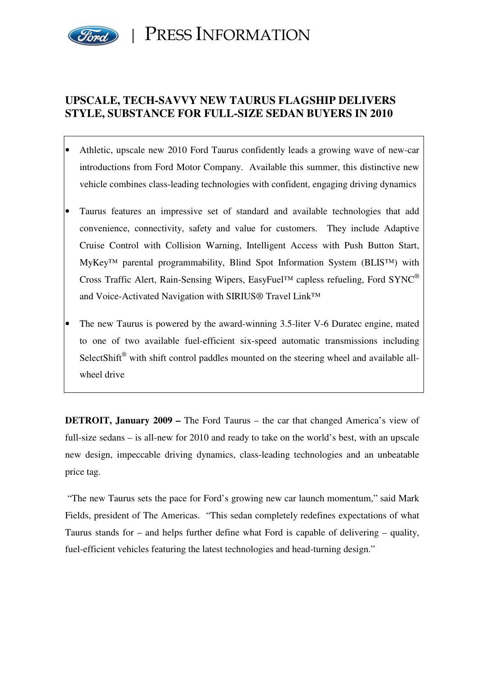

PRESS INFORMATION

# **UPSCALE, TECH-SAVVY NEW TAURUS FLAGSHIP DELIVERS STYLE, SUBSTANCE FOR FULL-SIZE SEDAN BUYERS IN 2010**

- Athletic, upscale new 2010 Ford Taurus confidently leads a growing wave of new-car introductions from Ford Motor Company. Available this summer, this distinctive new vehicle combines class-leading technologies with confident, engaging driving dynamics
- Taurus features an impressive set of standard and available technologies that add convenience, connectivity, safety and value for customers. They include Adaptive Cruise Control with Collision Warning, Intelligent Access with Push Button Start, MyKey™ parental programmability, Blind Spot Information System (BLIS™) with Cross Traffic Alert, Rain-Sensing Wipers, EasyFuel™ capless refueling, Ford SYNC® and Voice-Activated Navigation with SIRIUS® Travel Link™
- The new Taurus is powered by the award-winning 3.5-liter V-6 Duratec engine, mated to one of two available fuel-efficient six-speed automatic transmissions including SelectShift<sup>®</sup> with shift control paddles mounted on the steering wheel and available allwheel drive

**DETROIT, January 2009 –** The Ford Taurus – the car that changed America's view of full-size sedans – is all-new for 2010 and ready to take on the world's best, with an upscale new design, impeccable driving dynamics, class-leading technologies and an unbeatable price tag.

 "The new Taurus sets the pace for Ford's growing new car launch momentum," said Mark Fields, president of The Americas. "This sedan completely redefines expectations of what Taurus stands for – and helps further define what Ford is capable of delivering – quality, fuel-efficient vehicles featuring the latest technologies and head-turning design."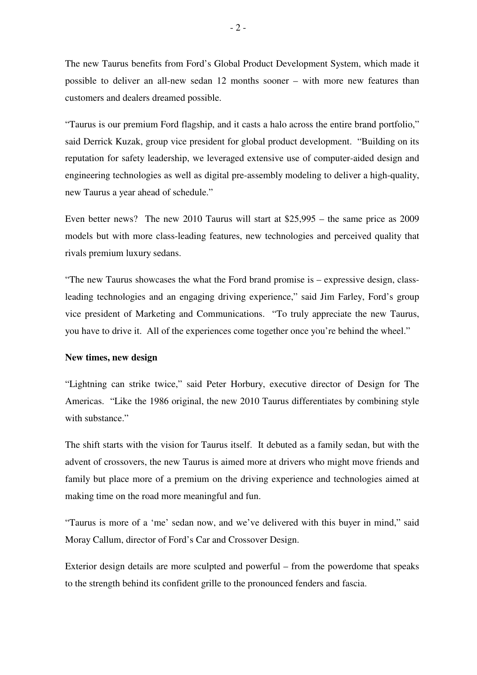The new Taurus benefits from Ford's Global Product Development System, which made it possible to deliver an all-new sedan 12 months sooner – with more new features than customers and dealers dreamed possible.

"Taurus is our premium Ford flagship, and it casts a halo across the entire brand portfolio," said Derrick Kuzak, group vice president for global product development. "Building on its reputation for safety leadership, we leveraged extensive use of computer-aided design and engineering technologies as well as digital pre-assembly modeling to deliver a high-quality, new Taurus a year ahead of schedule."

Even better news? The new 2010 Taurus will start at \$25,995 – the same price as 2009 models but with more class-leading features, new technologies and perceived quality that rivals premium luxury sedans.

"The new Taurus showcases the what the Ford brand promise is – expressive design, classleading technologies and an engaging driving experience," said Jim Farley, Ford's group vice president of Marketing and Communications. "To truly appreciate the new Taurus, you have to drive it. All of the experiences come together once you're behind the wheel."

#### **New times, new design**

"Lightning can strike twice," said Peter Horbury, executive director of Design for The Americas. "Like the 1986 original, the new 2010 Taurus differentiates by combining style with substance."

The shift starts with the vision for Taurus itself. It debuted as a family sedan, but with the advent of crossovers, the new Taurus is aimed more at drivers who might move friends and family but place more of a premium on the driving experience and technologies aimed at making time on the road more meaningful and fun.

"Taurus is more of a 'me' sedan now, and we've delivered with this buyer in mind," said Moray Callum, director of Ford's Car and Crossover Design.

Exterior design details are more sculpted and powerful – from the powerdome that speaks to the strength behind its confident grille to the pronounced fenders and fascia.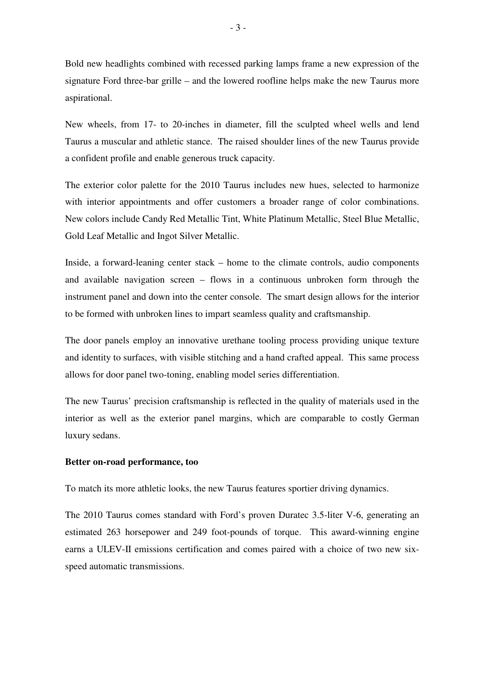Bold new headlights combined with recessed parking lamps frame a new expression of the signature Ford three-bar grille – and the lowered roofline helps make the new Taurus more aspirational.

New wheels, from 17- to 20-inches in diameter, fill the sculpted wheel wells and lend Taurus a muscular and athletic stance. The raised shoulder lines of the new Taurus provide a confident profile and enable generous truck capacity.

The exterior color palette for the 2010 Taurus includes new hues, selected to harmonize with interior appointments and offer customers a broader range of color combinations. New colors include Candy Red Metallic Tint, White Platinum Metallic, Steel Blue Metallic, Gold Leaf Metallic and Ingot Silver Metallic.

Inside, a forward-leaning center stack – home to the climate controls, audio components and available navigation screen – flows in a continuous unbroken form through the instrument panel and down into the center console. The smart design allows for the interior to be formed with unbroken lines to impart seamless quality and craftsmanship.

The door panels employ an innovative urethane tooling process providing unique texture and identity to surfaces, with visible stitching and a hand crafted appeal. This same process allows for door panel two-toning, enabling model series differentiation.

The new Taurus' precision craftsmanship is reflected in the quality of materials used in the interior as well as the exterior panel margins, which are comparable to costly German luxury sedans.

### **Better on-road performance, too**

To match its more athletic looks, the new Taurus features sportier driving dynamics.

The 2010 Taurus comes standard with Ford's proven Duratec 3.5-liter V-6, generating an estimated 263 horsepower and 249 foot-pounds of torque. This award-winning engine earns a ULEV-II emissions certification and comes paired with a choice of two new sixspeed automatic transmissions.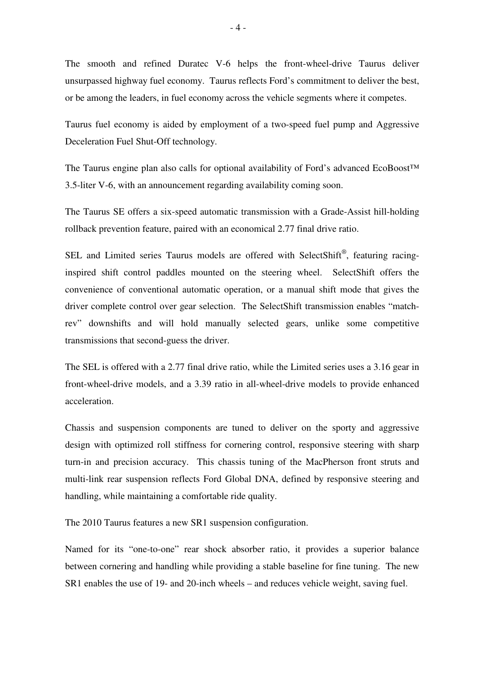The smooth and refined Duratec V-6 helps the front-wheel-drive Taurus deliver unsurpassed highway fuel economy. Taurus reflects Ford's commitment to deliver the best, or be among the leaders, in fuel economy across the vehicle segments where it competes.

Taurus fuel economy is aided by employment of a two-speed fuel pump and Aggressive Deceleration Fuel Shut-Off technology.

The Taurus engine plan also calls for optional availability of Ford's advanced EcoBoost™ 3.5-liter V-6, with an announcement regarding availability coming soon.

The Taurus SE offers a six-speed automatic transmission with a Grade-Assist hill-holding rollback prevention feature, paired with an economical 2.77 final drive ratio.

SEL and Limited series Taurus models are offered with SelectShift®, featuring racinginspired shift control paddles mounted on the steering wheel. SelectShift offers the convenience of conventional automatic operation, or a manual shift mode that gives the driver complete control over gear selection. The SelectShift transmission enables "matchrev" downshifts and will hold manually selected gears, unlike some competitive transmissions that second-guess the driver.

The SEL is offered with a 2.77 final drive ratio, while the Limited series uses a 3.16 gear in front-wheel-drive models, and a 3.39 ratio in all-wheel-drive models to provide enhanced acceleration.

Chassis and suspension components are tuned to deliver on the sporty and aggressive design with optimized roll stiffness for cornering control, responsive steering with sharp turn-in and precision accuracy. This chassis tuning of the MacPherson front struts and multi-link rear suspension reflects Ford Global DNA, defined by responsive steering and handling, while maintaining a comfortable ride quality.

The 2010 Taurus features a new SR1 suspension configuration.

Named for its "one-to-one" rear shock absorber ratio, it provides a superior balance between cornering and handling while providing a stable baseline for fine tuning. The new SR1 enables the use of 19- and 20-inch wheels – and reduces vehicle weight, saving fuel.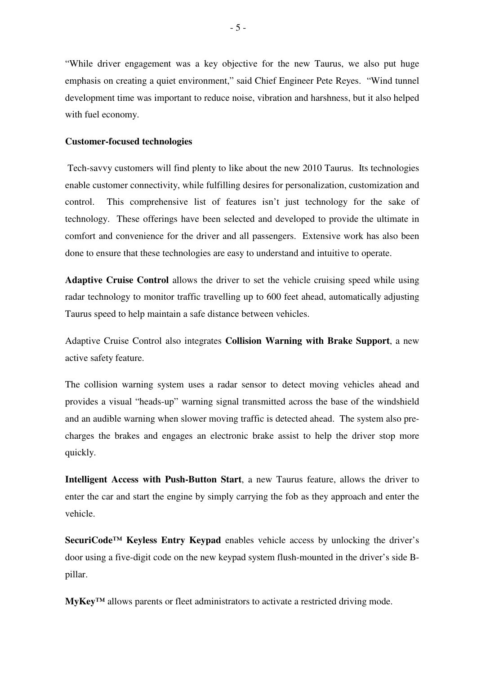"While driver engagement was a key objective for the new Taurus, we also put huge emphasis on creating a quiet environment," said Chief Engineer Pete Reyes. "Wind tunnel development time was important to reduce noise, vibration and harshness, but it also helped with fuel economy.

### **Customer-focused technologies**

 Tech-savvy customers will find plenty to like about the new 2010 Taurus. Its technologies enable customer connectivity, while fulfilling desires for personalization, customization and control. This comprehensive list of features isn't just technology for the sake of technology. These offerings have been selected and developed to provide the ultimate in comfort and convenience for the driver and all passengers. Extensive work has also been done to ensure that these technologies are easy to understand and intuitive to operate.

**Adaptive Cruise Control** allows the driver to set the vehicle cruising speed while using radar technology to monitor traffic travelling up to 600 feet ahead, automatically adjusting Taurus speed to help maintain a safe distance between vehicles.

Adaptive Cruise Control also integrates **Collision Warning with Brake Support**, a new active safety feature.

The collision warning system uses a radar sensor to detect moving vehicles ahead and provides a visual "heads-up" warning signal transmitted across the base of the windshield and an audible warning when slower moving traffic is detected ahead. The system also precharges the brakes and engages an electronic brake assist to help the driver stop more quickly.

**Intelligent Access with Push-Button Start**, a new Taurus feature, allows the driver to enter the car and start the engine by simply carrying the fob as they approach and enter the vehicle.

**SecuriCode™ Keyless Entry Keypad** enables vehicle access by unlocking the driver's door using a five-digit code on the new keypad system flush-mounted in the driver's side Bpillar.

**MyKey™** allows parents or fleet administrators to activate a restricted driving mode.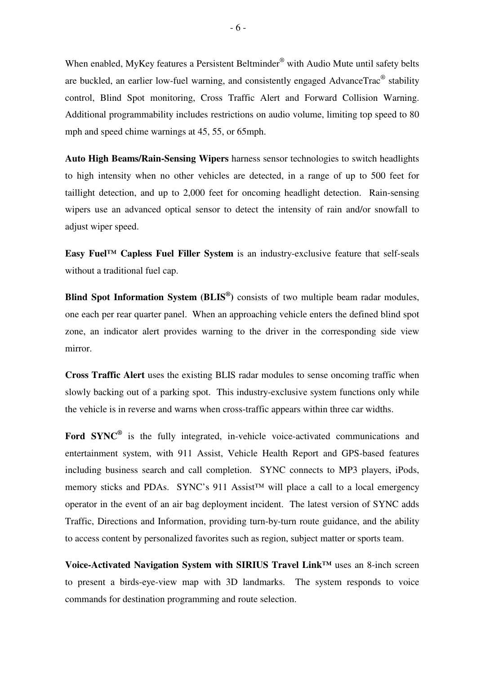When enabled, MyKey features a Persistent Beltminder® with Audio Mute until safety belts are buckled, an earlier low-fuel warning, and consistently engaged AdvanceTrac<sup>®</sup> stability control, Blind Spot monitoring, Cross Traffic Alert and Forward Collision Warning. Additional programmability includes restrictions on audio volume, limiting top speed to 80 mph and speed chime warnings at 45, 55, or 65mph.

**Auto High Beams/Rain-Sensing Wipers** harness sensor technologies to switch headlights to high intensity when no other vehicles are detected, in a range of up to 500 feet for taillight detection, and up to 2,000 feet for oncoming headlight detection. Rain-sensing wipers use an advanced optical sensor to detect the intensity of rain and/or snowfall to adjust wiper speed.

**Easy Fuel™ Capless Fuel Filler System** is an industry-exclusive feature that self-seals without a traditional fuel cap.

**Blind Spot Information System (BLIS® )** consists of two multiple beam radar modules, one each per rear quarter panel. When an approaching vehicle enters the defined blind spot zone, an indicator alert provides warning to the driver in the corresponding side view mirror.

**Cross Traffic Alert** uses the existing BLIS radar modules to sense oncoming traffic when slowly backing out of a parking spot. This industry-exclusive system functions only while the vehicle is in reverse and warns when cross-traffic appears within three car widths.

**Ford SYNC®** is the fully integrated, in-vehicle voice-activated communications and entertainment system, with 911 Assist, Vehicle Health Report and GPS-based features including business search and call completion. SYNC connects to MP3 players, iPods, memory sticks and PDAs. SYNC's 911 Assist™ will place a call to a local emergency operator in the event of an air bag deployment incident. The latest version of SYNC adds Traffic, Directions and Information, providing turn-by-turn route guidance, and the ability to access content by personalized favorites such as region, subject matter or sports team.

**Voice-Activated Navigation System with SIRIUS Travel Link™** uses an 8-inch screen to present a birds-eye-view map with 3D landmarks. The system responds to voice commands for destination programming and route selection.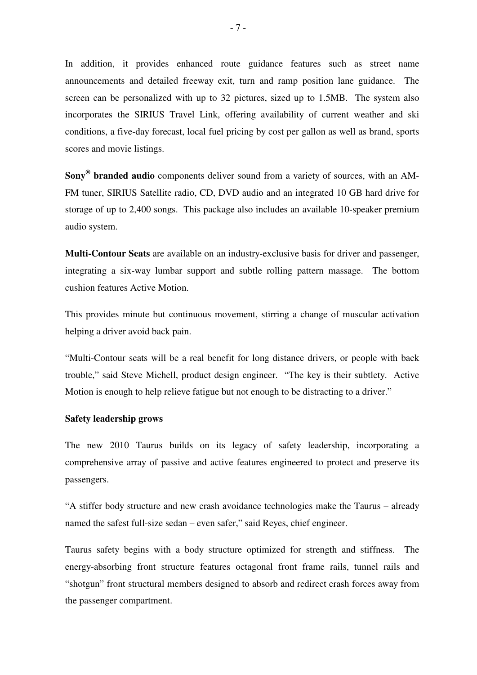In addition, it provides enhanced route guidance features such as street name announcements and detailed freeway exit, turn and ramp position lane guidance. The screen can be personalized with up to 32 pictures, sized up to 1.5MB. The system also incorporates the SIRIUS Travel Link, offering availability of current weather and ski conditions, a five-day forecast, local fuel pricing by cost per gallon as well as brand, sports scores and movie listings.

**Sony® branded audio** components deliver sound from a variety of sources, with an AM-FM tuner, SIRIUS Satellite radio, CD, DVD audio and an integrated 10 GB hard drive for storage of up to 2,400 songs. This package also includes an available 10-speaker premium audio system.

**Multi-Contour Seats** are available on an industry-exclusive basis for driver and passenger, integrating a six-way lumbar support and subtle rolling pattern massage. The bottom cushion features Active Motion.

This provides minute but continuous movement, stirring a change of muscular activation helping a driver avoid back pain.

"Multi-Contour seats will be a real benefit for long distance drivers, or people with back trouble," said Steve Michell, product design engineer. "The key is their subtlety. Active Motion is enough to help relieve fatigue but not enough to be distracting to a driver."

## **Safety leadership grows**

The new 2010 Taurus builds on its legacy of safety leadership, incorporating a comprehensive array of passive and active features engineered to protect and preserve its passengers.

"A stiffer body structure and new crash avoidance technologies make the Taurus – already named the safest full-size sedan – even safer," said Reyes, chief engineer.

Taurus safety begins with a body structure optimized for strength and stiffness. The energy-absorbing front structure features octagonal front frame rails, tunnel rails and "shotgun" front structural members designed to absorb and redirect crash forces away from the passenger compartment.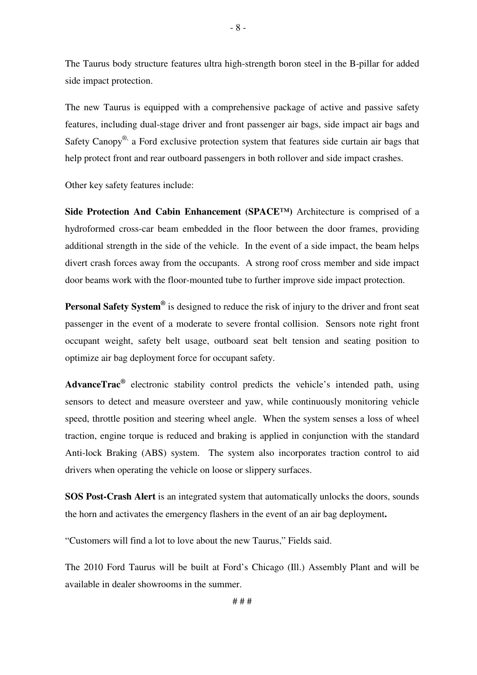The Taurus body structure features ultra high-strength boron steel in the B-pillar for added side impact protection.

The new Taurus is equipped with a comprehensive package of active and passive safety features, including dual-stage driver and front passenger air bags, side impact air bags and Safety Canopy<sup>®,</sup> a Ford exclusive protection system that features side curtain air bags that help protect front and rear outboard passengers in both rollover and side impact crashes.

Other key safety features include:

**Side Protection And Cabin Enhancement (SPACE™)** Architecture is comprised of a hydroformed cross-car beam embedded in the floor between the door frames, providing additional strength in the side of the vehicle. In the event of a side impact, the beam helps divert crash forces away from the occupants. A strong roof cross member and side impact door beams work with the floor-mounted tube to further improve side impact protection.

**Personal Safety System®** is designed to reduce the risk of injury to the driver and front seat passenger in the event of a moderate to severe frontal collision. Sensors note right front occupant weight, safety belt usage, outboard seat belt tension and seating position to optimize air bag deployment force for occupant safety.

**AdvanceTrac®** electronic stability control predicts the vehicle's intended path, using sensors to detect and measure oversteer and yaw, while continuously monitoring vehicle speed, throttle position and steering wheel angle. When the system senses a loss of wheel traction, engine torque is reduced and braking is applied in conjunction with the standard Anti-lock Braking (ABS) system. The system also incorporates traction control to aid drivers when operating the vehicle on loose or slippery surfaces.

**SOS Post-Crash Alert** is an integrated system that automatically unlocks the doors, sounds the horn and activates the emergency flashers in the event of an air bag deployment**.** 

"Customers will find a lot to love about the new Taurus," Fields said.

The 2010 Ford Taurus will be built at Ford's Chicago (Ill.) Assembly Plant and will be available in dealer showrooms in the summer.